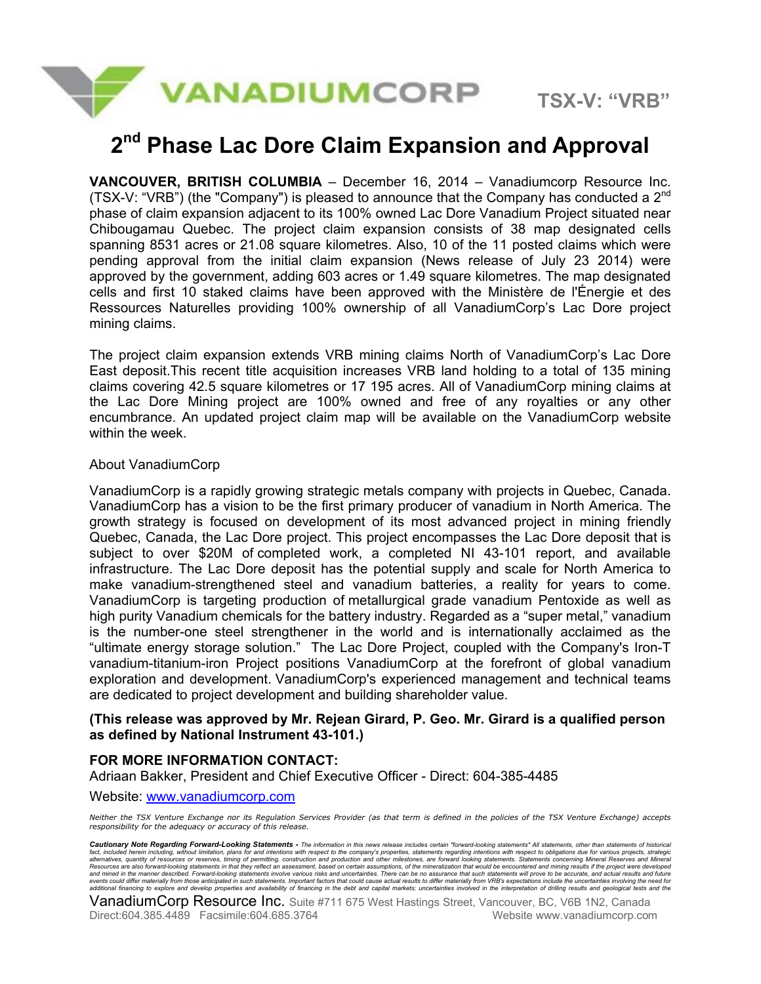

# **2nd Phase Lac Dore Claim Expansion and Approval**

**VANCOUVER, BRITISH COLUMBIA** – December 16, 2014 – Vanadiumcorp Resource Inc. (TSX-V: "VRB") (the "Company") is pleased to announce that the Company has conducted a  $2^{nd}$ phase of claim expansion adjacent to its 100% owned Lac Dore Vanadium Project situated near Chibougamau Quebec. The project claim expansion consists of 38 map designated cells spanning 8531 acres or 21.08 square kilometres. Also, 10 of the 11 posted claims which were pending approval from the initial claim expansion (News release of July 23 2014) were approved by the government, adding 603 acres or 1.49 square kilometres. The map designated cells and first 10 staked claims have been approved with the Ministère de l'Énergie et des Ressources Naturelles providing 100% ownership of all VanadiumCorp's Lac Dore project mining claims.

The project claim expansion extends VRB mining claims North of VanadiumCorp's Lac Dore East deposit.This recent title acquisition increases VRB land holding to a total of 135 mining claims covering 42.5 square kilometres or 17 195 acres. All of VanadiumCorp mining claims at the Lac Dore Mining project are 100% owned and free of any royalties or any other encumbrance. An updated project claim map will be available on the VanadiumCorp website within the week.

### About VanadiumCorp

VanadiumCorp is a rapidly growing strategic metals company with projects in Quebec, Canada. VanadiumCorp has a vision to be the first primary producer of vanadium in North America. The growth strategy is focused on development of its most advanced project in mining friendly Quebec, Canada, the Lac Dore project. This project encompasses the Lac Dore deposit that is subject to over \$20M of completed work, a completed NI 43-101 report, and available infrastructure. The Lac Dore deposit has the potential supply and scale for North America to make vanadium-strengthened steel and vanadium batteries, a reality for years to come. VanadiumCorp is targeting production of metallurgical grade vanadium Pentoxide as well as high purity Vanadium chemicals for the battery industry. Regarded as a "super metal," vanadium is the number-one steel strengthener in the world and is internationally acclaimed as the "ultimate energy storage solution." The Lac Dore Project, coupled with the Company's Iron-T vanadium-titanium-iron Project positions VanadiumCorp at the forefront of global vanadium exploration and development. VanadiumCorp's experienced management and technical teams are dedicated to project development and building shareholder value.

### **(This release was approved by Mr. Rejean Girard, P. Geo. Mr. Girard is a qualified person as defined by National Instrument 43-101.)**

## **FOR MORE INFORMATION CONTACT:**

Adriaan Bakker, President and Chief Executive Officer - Direct: 604-385-4485

#### Website: www.vanadiumcorp.com

*Neither the TSX Venture Exchange nor its Regulation Services Provider (as that term is defined in the policies of the TSX Venture Exchange) accepts responsibility for the adequacy or accuracy of this release.* 

Cautionary Note Regarding Forward-Looking Statements - The information in this news release includes certain "forward-looking statements" All statements, other than statements of historical fact, included herein including, without limitation, plans for and intentions with respect to the company's properties, statements regarding intentions with respect to obligations due for various projects, strategic<br>altern and mined in the manner described. Forward-looking statements involve various risks and uncertainties. There can be no assurance that such statements will prove to be accurate, and actual results and future events could differ materially from those anticipated in such statements. Important factors that could cause actual results to differ materially from VRB's expectations include the uncertainties involving the need for<br>addi

**VanadiumCorp Resource Inc.** Suite #711 675 West Hastings Street, Vancouver, BC, V6B 1N2, Canada Direct:604.385.4489 Facsimile:604.685.3764 Website www.vanadiumcorp.com